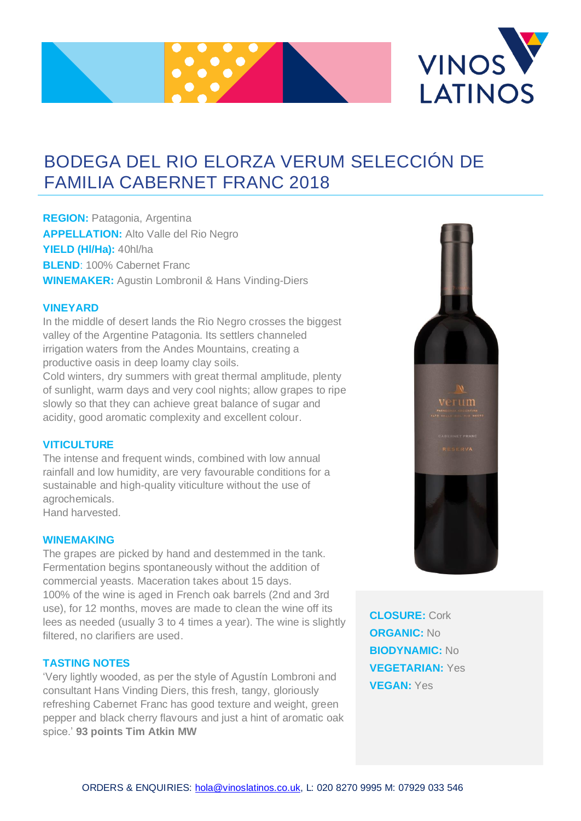



# BODEGA DEL RIO ELORZA VERUM SELECCIÓN DE FAMILIA CABERNET FRANC 2018

**REGION:** Patagonia, Argentina **APPELLATION:** Alto Valle del Rio Negro **YIELD (Hl/Ha):** 40hl/ha **BLEND**: 100% Cabernet Franc **WINEMAKER:** Agustin LombroniI & Hans Vinding-Diers

### **VINEYARD**

In the middle of desert lands the Rio Negro crosses the biggest valley of the Argentine Patagonia. Its settlers channeled irrigation waters from the Andes Mountains, creating a productive oasis in deep loamy clay soils. Cold winters, dry summers with great thermal amplitude, plenty of sunlight, warm days and very cool nights; allow grapes to ripe slowly so that they can achieve great balance of sugar and acidity, good aromatic complexity and excellent colour.

### **VITICULTURE**

The intense and frequent winds, combined with low annual rainfall and low humidity, are very favourable conditions for a sustainable and high-quality viticulture without the use of agrochemicals. Hand harvested.

#### **WINEMAKING**

The grapes are picked by hand and destemmed in the tank. Fermentation begins spontaneously without the addition of commercial yeasts. Maceration takes about 15 days. 100% of the wine is aged in French oak barrels (2nd and 3rd use), for 12 months, moves are made to clean the wine off its lees as needed (usually 3 to 4 times a year). The wine is slightly filtered, no clarifiers are used.

## **TASTING NOTES**

'Very lightly wooded, as per the style of Agustín Lombroni and consultant Hans Vinding Diers, this fresh, tangy, gloriously refreshing Cabernet Franc has good texture and weight, green pepper and black cherry flavours and just a hint of aromatic oak spice.' **93 points Tim Atkin MW**

**CLOSURE:** Cork **ORGANIC:** No **BIODYNAMIC:** No **VEGETARIAN:** Yes **VEGAN:** Yes